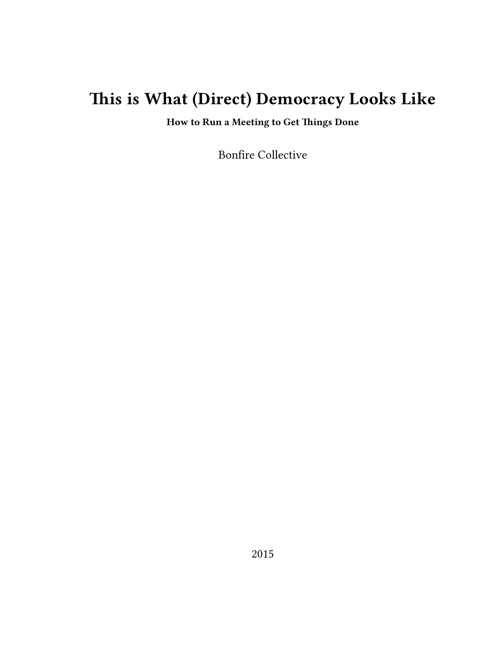# **This is What (Direct) Democracy Looks Like**

**How to Run a Meeting to Get Things Done**

Bonfire Collective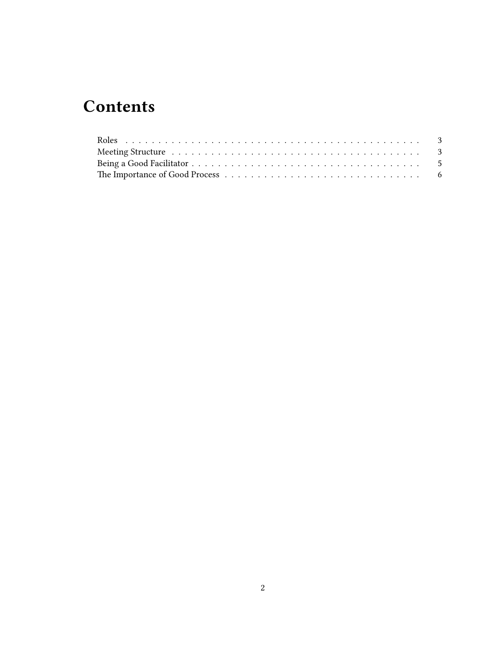## **Contents**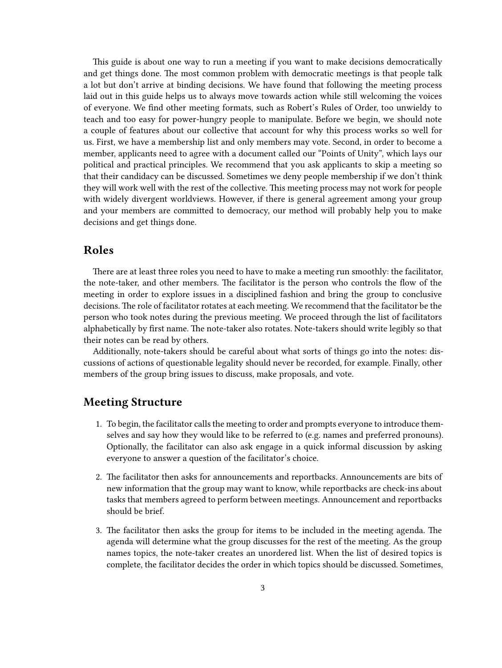This guide is about one way to run a meeting if you want to make decisions democratically and get things done. The most common problem with democratic meetings is that people talk a lot but don't arrive at binding decisions. We have found that following the meeting process laid out in this guide helps us to always move towards action while still welcoming the voices of everyone. We find other meeting formats, such as Robert's Rules of Order, too unwieldy to teach and too easy for power-hungry people to manipulate. Before we begin, we should note a couple of features about our collective that account for why this process works so well for us. First, we have a membership list and only members may vote. Second, in order to become a member, applicants need to agree with a document called our "Points of Unity", which lays our political and practical principles. We recommend that you ask applicants to skip a meeting so that their candidacy can be discussed. Sometimes we deny people membership if we don't think they will work well with the rest of the collective. This meeting process may not work for people with widely divergent worldviews. However, if there is general agreement among your group and your members are committed to democracy, our method will probably help you to make decisions and get things done.

#### <span id="page-2-0"></span>**Roles**

There are at least three roles you need to have to make a meeting run smoothly: the facilitator, the note-taker, and other members. The facilitator is the person who controls the flow of the meeting in order to explore issues in a disciplined fashion and bring the group to conclusive decisions. The role of facilitator rotates at each meeting. We recommend that the facilitator be the person who took notes during the previous meeting. We proceed through the list of facilitators alphabetically by first name. The note-taker also rotates. Note-takers should write legibly so that their notes can be read by others.

Additionally, note-takers should be careful about what sorts of things go into the notes: discussions of actions of questionable legality should never be recorded, for example. Finally, other members of the group bring issues to discuss, make proposals, and vote.

### <span id="page-2-1"></span>**Meeting Structure**

- 1. To begin, the facilitator calls the meeting to order and prompts everyone to introduce themselves and say how they would like to be referred to (e.g. names and preferred pronouns). Optionally, the facilitator can also ask engage in a quick informal discussion by asking everyone to answer a question of the facilitator's choice.
- 2. The facilitator then asks for announcements and reportbacks. Announcements are bits of new information that the group may want to know, while reportbacks are check-ins about tasks that members agreed to perform between meetings. Announcement and reportbacks should be brief.
- 3. The facilitator then asks the group for items to be included in the meeting agenda. The agenda will determine what the group discusses for the rest of the meeting. As the group names topics, the note-taker creates an unordered list. When the list of desired topics is complete, the facilitator decides the order in which topics should be discussed. Sometimes,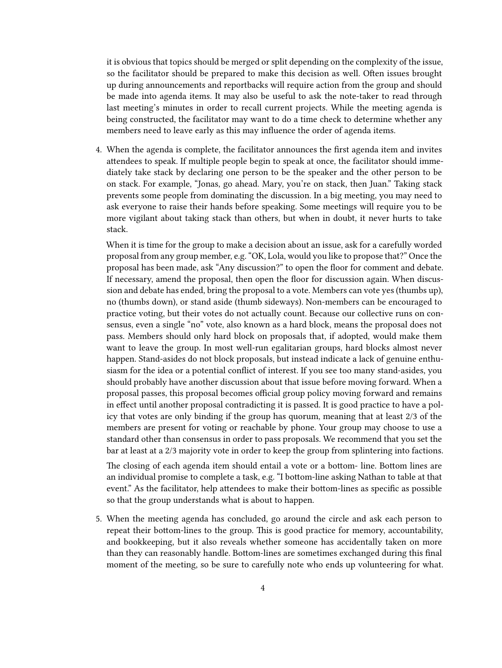it is obvious that topics should be merged or split depending on the complexity of the issue, so the facilitator should be prepared to make this decision as well. Often issues brought up during announcements and reportbacks will require action from the group and should be made into agenda items. It may also be useful to ask the note-taker to read through last meeting's minutes in order to recall current projects. While the meeting agenda is being constructed, the facilitator may want to do a time check to determine whether any members need to leave early as this may influence the order of agenda items.

4. When the agenda is complete, the facilitator announces the first agenda item and invites attendees to speak. If multiple people begin to speak at once, the facilitator should immediately take stack by declaring one person to be the speaker and the other person to be on stack. For example, "Jonas, go ahead. Mary, you're on stack, then Juan." Taking stack prevents some people from dominating the discussion. In a big meeting, you may need to ask everyone to raise their hands before speaking. Some meetings will require you to be more vigilant about taking stack than others, but when in doubt, it never hurts to take stack.

When it is time for the group to make a decision about an issue, ask for a carefully worded proposal from any group member, e.g. "OK, Lola, would you like to propose that?" Once the proposal has been made, ask "Any discussion?" to open the floor for comment and debate. If necessary, amend the proposal, then open the floor for discussion again. When discussion and debate has ended, bring the proposal to a vote. Members can vote yes (thumbs up), no (thumbs down), or stand aside (thumb sideways). Non-members can be encouraged to practice voting, but their votes do not actually count. Because our collective runs on consensus, even a single "no" vote, also known as a hard block, means the proposal does not pass. Members should only hard block on proposals that, if adopted, would make them want to leave the group. In most well-run egalitarian groups, hard blocks almost never happen. Stand-asides do not block proposals, but instead indicate a lack of genuine enthusiasm for the idea or a potential conflict of interest. If you see too many stand-asides, you should probably have another discussion about that issue before moving forward. When a proposal passes, this proposal becomes official group policy moving forward and remains in effect until another proposal contradicting it is passed. It is good practice to have a policy that votes are only binding if the group has quorum, meaning that at least 2/3 of the members are present for voting or reachable by phone. Your group may choose to use a standard other than consensus in order to pass proposals. We recommend that you set the bar at least at a 2/3 majority vote in order to keep the group from splintering into factions.

The closing of each agenda item should entail a vote or a bottom- line. Bottom lines are an individual promise to complete a task, e.g. "I bottom-line asking Nathan to table at that event." As the facilitator, help attendees to make their bottom-lines as specific as possible so that the group understands what is about to happen.

5. When the meeting agenda has concluded, go around the circle and ask each person to repeat their bottom-lines to the group. This is good practice for memory, accountability, and bookkeeping, but it also reveals whether someone has accidentally taken on more than they can reasonably handle. Bottom-lines are sometimes exchanged during this final moment of the meeting, so be sure to carefully note who ends up volunteering for what.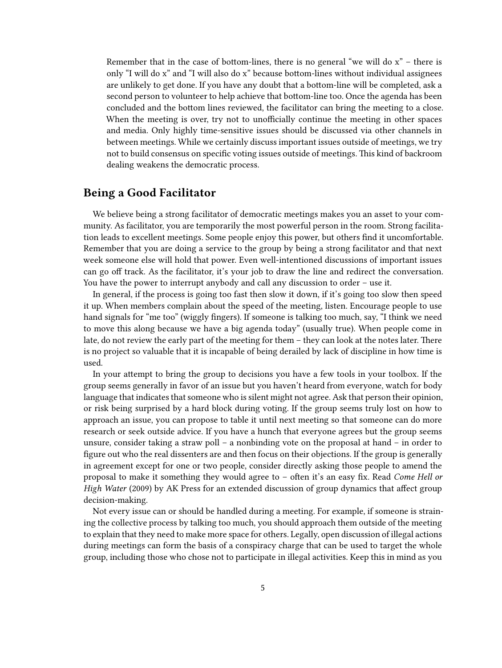Remember that in the case of bottom-lines, there is no general "we will do  $x$ " – there is only "I will do x" and "I will also do x" because bottom-lines without individual assignees are unlikely to get done. If you have any doubt that a bottom-line will be completed, ask a second person to volunteer to help achieve that bottom-line too. Once the agenda has been concluded and the bottom lines reviewed, the facilitator can bring the meeting to a close. When the meeting is over, try not to unofficially continue the meeting in other spaces and media. Only highly time-sensitive issues should be discussed via other channels in between meetings. While we certainly discuss important issues outside of meetings, we try not to build consensus on specific voting issues outside of meetings. This kind of backroom dealing weakens the democratic process.

### <span id="page-4-0"></span>**Being a Good Facilitator**

We believe being a strong facilitator of democratic meetings makes you an asset to your community. As facilitator, you are temporarily the most powerful person in the room. Strong facilitation leads to excellent meetings. Some people enjoy this power, but others find it uncomfortable. Remember that you are doing a service to the group by being a strong facilitator and that next week someone else will hold that power. Even well-intentioned discussions of important issues can go off track. As the facilitator, it's your job to draw the line and redirect the conversation. You have the power to interrupt anybody and call any discussion to order – use it.

In general, if the process is going too fast then slow it down, if it's going too slow then speed it up. When members complain about the speed of the meeting, listen. Encourage people to use hand signals for "me too" (wiggly fingers). If someone is talking too much, say, "I think we need to move this along because we have a big agenda today" (usually true). When people come in late, do not review the early part of the meeting for them – they can look at the notes later. There is no project so valuable that it is incapable of being derailed by lack of discipline in how time is used.

In your attempt to bring the group to decisions you have a few tools in your toolbox. If the group seems generally in favor of an issue but you haven't heard from everyone, watch for body language that indicates that someone who is silent might not agree. Ask that person their opinion, or risk being surprised by a hard block during voting. If the group seems truly lost on how to approach an issue, you can propose to table it until next meeting so that someone can do more research or seek outside advice. If you have a hunch that everyone agrees but the group seems unsure, consider taking a straw poll – a nonbinding vote on the proposal at hand – in order to figure out who the real dissenters are and then focus on their objections. If the group is generally in agreement except for one or two people, consider directly asking those people to amend the proposal to make it something they would agree to – often it's an easy fix. Read *Come Hell or High Water* (2009) by AK Press for an extended discussion of group dynamics that affect group decision-making.

Not every issue can or should be handled during a meeting. For example, if someone is straining the collective process by talking too much, you should approach them outside of the meeting to explain that they need to make more space for others. Legally, open discussion of illegal actions during meetings can form the basis of a conspiracy charge that can be used to target the whole group, including those who chose not to participate in illegal activities. Keep this in mind as you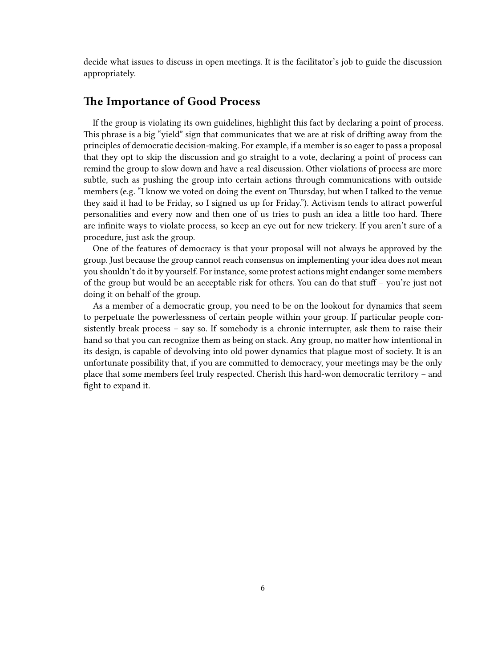decide what issues to discuss in open meetings. It is the facilitator's job to guide the discussion appropriately.

#### <span id="page-5-0"></span>**The Importance of Good Process**

If the group is violating its own guidelines, highlight this fact by declaring a point of process. This phrase is a big "yield" sign that communicates that we are at risk of drifting away from the principles of democratic decision-making. For example, if a member is so eager to pass a proposal that they opt to skip the discussion and go straight to a vote, declaring a point of process can remind the group to slow down and have a real discussion. Other violations of process are more subtle, such as pushing the group into certain actions through communications with outside members (e.g. "I know we voted on doing the event on Thursday, but when I talked to the venue they said it had to be Friday, so I signed us up for Friday."). Activism tends to attract powerful personalities and every now and then one of us tries to push an idea a little too hard. There are infinite ways to violate process, so keep an eye out for new trickery. If you aren't sure of a procedure, just ask the group.

One of the features of democracy is that your proposal will not always be approved by the group. Just because the group cannot reach consensus on implementing your idea does not mean you shouldn't do it by yourself. For instance, some protest actions might endanger some members of the group but would be an acceptable risk for others. You can do that stuff – you're just not doing it on behalf of the group.

As a member of a democratic group, you need to be on the lookout for dynamics that seem to perpetuate the powerlessness of certain people within your group. If particular people consistently break process – say so. If somebody is a chronic interrupter, ask them to raise their hand so that you can recognize them as being on stack. Any group, no matter how intentional in its design, is capable of devolving into old power dynamics that plague most of society. It is an unfortunate possibility that, if you are committed to democracy, your meetings may be the only place that some members feel truly respected. Cherish this hard-won democratic territory – and fight to expand it.